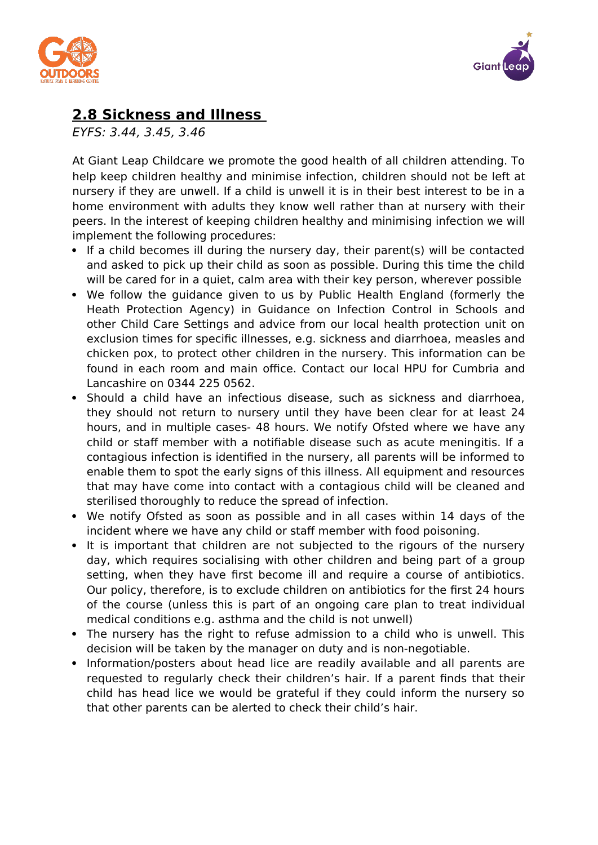



# **2.8 Sickness and Illness**

EYFS: 3.44, 3.45, 3.46

At Giant Leap Childcare we promote the good health of all children attending. To help keep children healthy and minimise infection, children should not be left at nursery if they are unwell. If a child is unwell it is in their best interest to be in a home environment with adults they know well rather than at nursery with their peers. In the interest of keeping children healthy and minimising infection we will implement the following procedures:

- If a child becomes ill during the nursery day, their parent(s) will be contacted and asked to pick up their child as soon as possible. During this time the child will be cared for in a quiet, calm area with their key person, wherever possible
- We follow the guidance given to us by Public Health England (formerly the Heath Protection Agency) in Guidance on Infection Control in Schools and other Child Care Settings and advice from our local health protection unit on exclusion times for specific illnesses, e.g. sickness and diarrhoea, measles and chicken pox, to protect other children in the nursery. This information can be found in each room and main office. Contact our local HPU for Cumbria and Lancashire on 0344 225 0562.
- Should a child have an infectious disease, such as sickness and diarrhoea, they should not return to nursery until they have been clear for at least 24 hours, and in multiple cases- 48 hours. We notify Ofsted where we have any child or staff member with a notifiable disease such as acute meningitis. If a contagious infection is identified in the nursery, all parents will be informed to enable them to spot the early signs of this illness. All equipment and resources that may have come into contact with a contagious child will be cleaned and sterilised thoroughly to reduce the spread of infection.
- We notify Ofsted as soon as possible and in all cases within 14 days of the incident where we have any child or staff member with food poisoning.
- It is important that children are not subjected to the rigours of the nursery day, which requires socialising with other children and being part of a group setting, when they have first become ill and require a course of antibiotics. Our policy, therefore, is to exclude children on antibiotics for the first 24 hours of the course (unless this is part of an ongoing care plan to treat individual medical conditions e.g. asthma and the child is not unwell)
- The nursery has the right to refuse admission to a child who is unwell. This decision will be taken by the manager on duty and is non-negotiable.
- Information/posters about head lice are readily available and all parents are requested to regularly check their children's hair. If a parent finds that their child has head lice we would be grateful if they could inform the nursery so that other parents can be alerted to check their child's hair.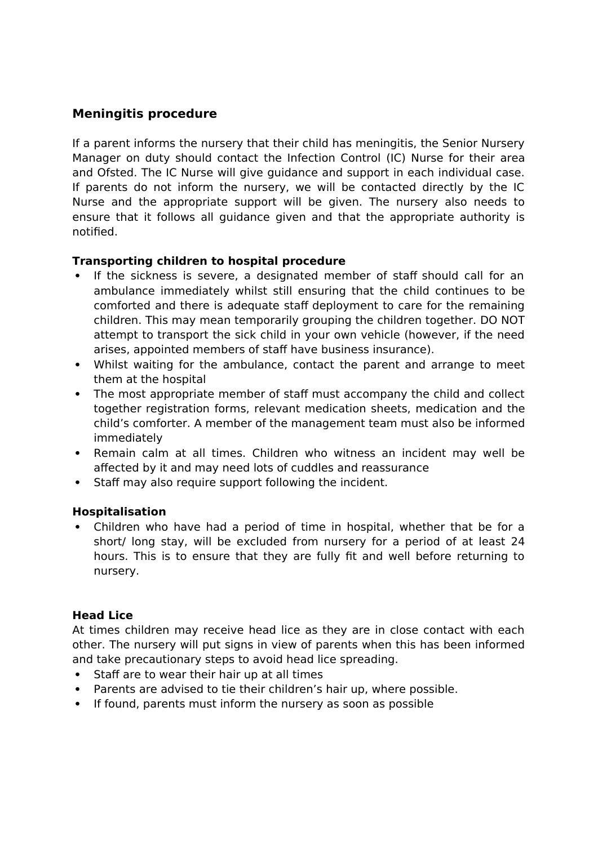## **Meningitis procedure**

If a parent informs the nursery that their child has meningitis, the Senior Nursery Manager on duty should contact the Infection Control (IC) Nurse for their area and Ofsted. The IC Nurse will give guidance and support in each individual case. If parents do not inform the nursery, we will be contacted directly by the IC Nurse and the appropriate support will be given. The nursery also needs to ensure that it follows all guidance given and that the appropriate authority is notified.

### **Transporting children to hospital procedure**

- If the sickness is severe, a designated member of staff should call for an ambulance immediately whilst still ensuring that the child continues to be comforted and there is adequate staff deployment to care for the remaining children. This may mean temporarily grouping the children together. DO NOT attempt to transport the sick child in your own vehicle (however, if the need arises, appointed members of staff have business insurance).
- Whilst waiting for the ambulance, contact the parent and arrange to meet them at the hospital
- The most appropriate member of staff must accompany the child and collect together registration forms, relevant medication sheets, medication and the child's comforter. A member of the management team must also be informed immediately
- Remain calm at all times. Children who witness an incident may well be affected by it and may need lots of cuddles and reassurance
- Staff may also require support following the incident.

### **Hospitalisation**

 Children who have had a period of time in hospital, whether that be for a short/ long stay, will be excluded from nursery for a period of at least 24 hours. This is to ensure that they are fully fit and well before returning to nursery.

### **Head Lice**

At times children may receive head lice as they are in close contact with each other. The nursery will put signs in view of parents when this has been informed and take precautionary steps to avoid head lice spreading.

- Staff are to wear their hair up at all times
- Parents are advised to tie their children's hair up, where possible.
- If found, parents must inform the nursery as soon as possible